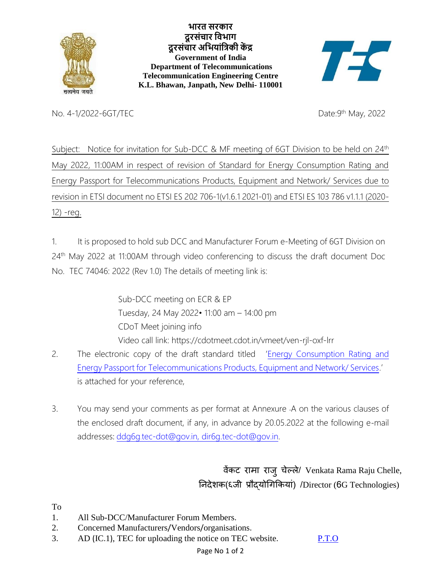

**भारत [सरकार](https://india.gov.in/hi/) [दूरसंचार](https://dot.gov.in/) विभाग दूरसंचार अवभयांविकी कें द्र [Government of India](https://india.gov.in/) [Department of Telecommunications](https://dot.gov.in/) Telecommunication Engineering Centre K.L. Bhawan, Janpath, New Delhi- 110001**



No. 4-1/2022-6GT/TEC

Date: 9<sup>th</sup> May, 2022

Subject: Notice for invitation for Sub-DCC & MF meeting of 6GT Division to be held on 24<sup>th</sup> May 2022, 11:00AM in respect of revision of Standard for Energy Consumption Rating and Energy Passport for Telecommunications Products, Equipment and Network/ Services due to revision in ETSI document no ETSI ES 202 706-1(v1.6.1 2021-01) and ETSI ES 103 786 v1.1.1 (2020- 12) -reg.

1. It is proposed to hold sub DCC and Manufacturer Forum e-Meeting of 6GT Division on 24<sup>th</sup> May 2022 at 11:00AM through video conferencing to discuss the draft document Doc No. TEC 74046: 2022 (Rev 1.0) The details of meeting link is:

> Sub-DCC meeting on ECR & EP Tuesday, 24 May 2022• 11:00 am – 14:00 pm CDoT Meet joining info Video call link: https://cdotmeet.cdot.in/vmeet/ven-rjl-oxf-lrr

- 2. The electronic copy of the draft standard titled '[Energy Consumption Rating and](/pdf/Whatsnew/Standard%20on%20ECR%20&%20EP%202022%20rev%202.0_5.5.2022.pdf)  [Energy Passport for Telecommunications Products, Equipment and Network/ Services](/pdf/Whatsnew/Standard%20on%20ECR%20&%20EP%202022%20rev%202.0_5.5.2022.pdf).' is attached for your reference,
- 3. You may send your comments as per format at Annexure -A on the various clauses of the enclosed draft document, if any, in advance by 20.05.2022 at the following e-mail addresses: ddg6g.tec-dot@gov.[in, dir6g.tec-dot@gov.in.](mailto:ddg6g.tec-dot@gov.in,%20dir6g.tec-dot@gov.in)

 वेंकट रामा राजुचेल्ले/ Venkata Rama Raju Chelle, निदेशक(६जी प्रौद्योगिककयाां) /Director (6G Technologies)

To

- 1. All Sub-DCC/Manufacturer Forum Members.
- 2. Concerned Manufacturers/Vendors/organisations.
- 3. AD (IC.1), TEC for uploading the notice on TEC website. P.T.O

Page No 1 of 2